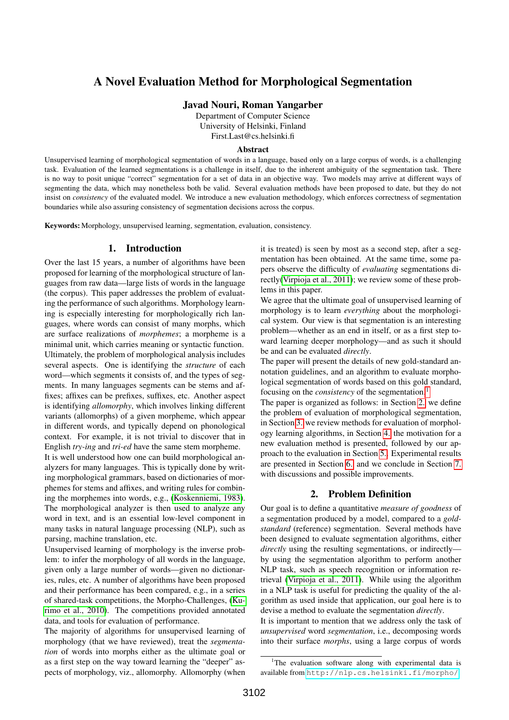# A Novel Evaluation Method for Morphological Segmentation

Javad Nouri, Roman Yangarber

Department of Computer Science University of Helsinki, Finland First.Last@cs.helsinki.fi

#### Abstract

Unsupervised learning of morphological segmentation of words in a language, based only on a large corpus of words, is a challenging task. Evaluation of the learned segmentations is a challenge in itself, due to the inherent ambiguity of the segmentation task. There is no way to posit unique "correct" segmentation for a set of data in an objective way. Two models may arrive at different ways of segmenting the data, which may nonetheless both be valid. Several evaluation methods have been proposed to date, but they do not insist on *consistency* of the evaluated model. We introduce a new evaluation methodology, which enforces correctness of segmentation boundaries while also assuring consistency of segmentation decisions across the corpus.

Keywords: Morphology, unsupervised learning, segmentation, evaluation, consistency.

## 1. Introduction

Over the last 15 years, a number of algorithms have been proposed for learning of the morphological structure of languages from raw data—large lists of words in the language (the corpus). This paper addresses the problem of evaluating the performance of such algorithms. Morphology learning is especially interesting for morphologically rich languages, where words can consist of many morphs, which are surface realizations of *morphemes*; a morpheme is a minimal unit, which carries meaning or syntactic function. Ultimately, the problem of morphological analysis includes several aspects. One is identifying the *structure* of each word—which segments it consists of, and the types of segments. In many languages segments can be stems and affixes; affixes can be prefixes, suffixes, etc. Another aspect is identifying *allomorphy*, which involves linking different variants (allomorphs) of a given morpheme, which appear in different words, and typically depend on phonological context. For example, it is not trivial to discover that in English *try-ing* and *tri-ed* have the same stem morpheme.

It is well understood how one can build morphological analyzers for many languages. This is typically done by writing morphological grammars, based on dictionaries of morphemes for stems and affixes, and writing rules for combining the morphemes into words, e.g., [\(Koskenniemi, 1983\)](#page-7-0). The morphological analyzer is then used to analyze any word in text, and is an essential low-level component in many tasks in natural language processing (NLP), such as parsing, machine translation, etc.

Unsupervised learning of morphology is the inverse problem: to infer the morphology of all words in the language, given only a large number of words—given no dictionaries, rules, etc. A number of algorithms have been proposed and their performance has been compared, e.g., in a series of shared-task competitions, the Morpho-Challenges, [\(Ku](#page-7-1)[rimo et al., 2010\)](#page-7-1). The competitions provided annotated data, and tools for evaluation of performance.

The majority of algorithms for unsupervised learning of morphology (that we have reviewed), treat the *segmentation* of words into morphs either as the ultimate goal or as a first step on the way toward learning the "deeper" aspects of morphology, viz., allomorphy. Allomorphy (when it is treated) is seen by most as a second step, after a segmentation has been obtained. At the same time, some papers observe the difficulty of *evaluating* segmentations directly[\(Virpioja et al., 2011\)](#page-7-2); we review some of these problems in this paper.

We agree that the ultimate goal of unsupervised learning of morphology is to learn *everything* about the morphological system. Our view is that segmentation is an interesting problem—whether as an end in itself, or as a first step toward learning deeper morphology—and as such it should be and can be evaluated *directly*.

The paper will present the details of new gold-standard annotation guidelines, and an algorithm to evaluate morphological segmentation of words based on this gold standard, focusing on the *consistency* of the segmentation.[1](#page-0-0)

The paper is organized as follows: in Section [2.](#page-0-1) we define the problem of evaluation of morphological segmentation, in Section [3.](#page-1-0) we review methods for evaluation of morphology learning algorithms, in Section [4.](#page-1-1) the motivation for a new evaluation method is presented, followed by our approach to the evaluation in Section [5..](#page-2-0) Experimental results are presented in Section [6.](#page-6-0) and we conclude in Section [7.](#page-6-1) with discussions and possible improvements.

#### 2. Problem Definition

<span id="page-0-1"></span>Our goal is to define a quantitative *measure of goodness* of a segmentation produced by a model, compared to a *goldstandard* (reference) segmentation. Several methods have been designed to evaluate segmentation algorithms, either *directly* using the resulting segmentations, or indirectly by using the segmentation algorithm to perform another NLP task, such as speech recognition or information retrieval [\(Virpioja et al., 2011\)](#page-7-2). While using the algorithm in a NLP task is useful for predicting the quality of the algorithm as used inside that application, our goal here is to devise a method to evaluate the segmentation *directly*.

It is important to mention that we address only the task of *unsupervised* word *segmentation*, i.e., decomposing words into their surface *morphs*, using a large corpus of words

<span id="page-0-0"></span><sup>&</sup>lt;sup>1</sup>The evaluation software along with experimental data is available from <http://nlp.cs.helsinki.fi/morpho/>.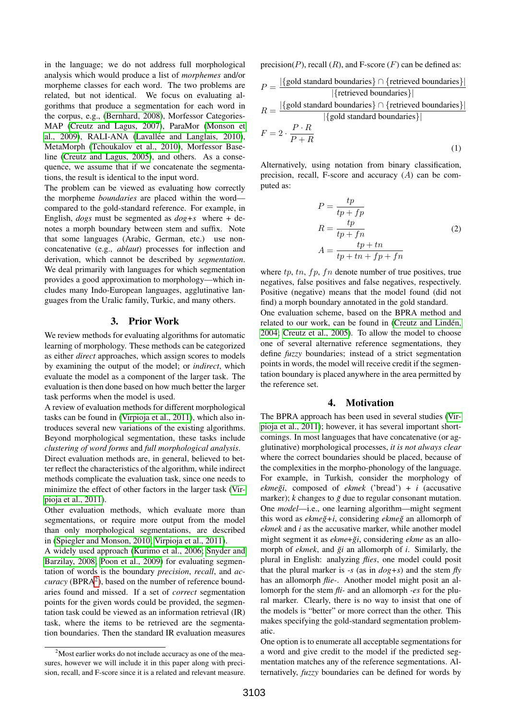in the language; we do not address full morphological analysis which would produce a list of *morphemes* and/or morpheme classes for each word. The two problems are related, but not identical. We focus on evaluating algorithms that produce a segmentation for each word in the corpus, e.g., [\(Bernhard, 2008\)](#page-7-3), Morfessor Categories-MAP [\(Creutz and Lagus, 2007\)](#page-7-4), ParaMor [\(Monson et](#page-7-5) al.,  $2009$ ), RALI-ANA (Lavallée and Langlais,  $2010$ ), MetaMorph [\(Tchoukalov et al., 2010\)](#page-7-7), Morfessor Baseline [\(Creutz and Lagus, 2005\)](#page-7-8), and others. As a consequence, we assume that if we concatenate the segmentations, the result is identical to the input word.

The problem can be viewed as evaluating how correctly the morpheme *boundaries* are placed within the word compared to the gold-standard reference. For example, in English, *dogs* must be segmented as *dog+s* where *+* denotes a morph boundary between stem and suffix. Note that some languages (Arabic, German, etc.) use nonconcatenative (e.g., *ablaut*) processes for inflection and derivation, which cannot be described by *segmentation*. We deal primarily with languages for which segmentation provides a good approximation to morphology—which includes many Indo-European languages, agglutinative languages from the Uralic family, Turkic, and many others.

#### 3. Prior Work

<span id="page-1-0"></span>We review methods for evaluating algorithms for automatic learning of morphology. These methods can be categorized as either *direct* approaches, which assign scores to models by examining the output of the model; or *indirect*, which evaluate the model as a component of the larger task. The evaluation is then done based on how much better the larger task performs when the model is used.

A review of evaluation methods for different morphological tasks can be found in [\(Virpioja et al., 2011\)](#page-7-2), which also introduces several new variations of the existing algorithms. Beyond morphological segmentation, these tasks include *clustering of word forms* and *full morphological analysis*.

Direct evaluation methods are, in general, believed to better reflect the characteristics of the algorithm, while indirect methods complicate the evaluation task, since one needs to minimize the effect of other factors in the larger task [\(Vir](#page-7-2)[pioja et al., 2011\)](#page-7-2).

Other evaluation methods, which evaluate more than segmentations, or require more output from the model than only morphological segmentations, are described in [\(Spiegler and Monson, 2010;](#page-7-9) [Virpioja et al., 2011\)](#page-7-2).

A widely used approach [\(Kurimo et al., 2006;](#page-7-10) [Snyder and](#page-7-11) [Barzilay, 2008;](#page-7-11) [Poon et al., 2009\)](#page-7-12) for evaluating segmentation of words is the boundary *precision*, *recall*, and *ac* $curacy$  (BPRA<sup>[2](#page-1-2)</sup>), based on the number of reference boundaries found and missed. If a set of *correct* segmentation points for the given words could be provided, the segmentation task could be viewed as an information retrieval (IR) task, where the items to be retrieved are the segmentation boundaries. Then the standard IR evaluation measures precision( $P$ ), recall  $(R)$ , and F-score  $(F)$  can be defined as:

$$
P = \frac{|\{\text{gold standard boundaries}\}\cap \{\text{retrieved boundaries}\}|}{|\{\text{retrieved boundaries}\}\}|}
$$

$$
R = \frac{|\{\text{gold standard boundaries}\}\cap \{\text{retrieved boundaries}\}|}{|\{\text{gold standard boundaries}\}|}
$$

$$
F = 2 \cdot \frac{P \cdot R}{P + R}
$$
(1)

Alternatively, using notation from binary classification, precision, recall, F-score and accuracy (A) can be computed as:

$$
P = \frac{tp}{tp + fp}
$$
  
\n
$$
R = \frac{tp}{tp + fn}
$$
  
\n
$$
A = \frac{tp + tn}{tp + tn + fp + fn}
$$
\n(2)

where  $tp$ ,  $tn$ ,  $fp$ ,  $fn$  denote number of true positives, true negatives, false positives and false negatives, respectively. Positive (negative) means that the model found (did not find) a morph boundary annotated in the gold standard.

One evaluation scheme, based on the BPRA method and related to our work, can be found in (Creutz and Lindén, [2004;](#page-7-13) [Creutz et al., 2005\)](#page-7-14). To allow the model to choose one of several alternative reference segmentations, they define *fuzzy* boundaries; instead of a strict segmentation points in words, the model will receive credit if the segmentation boundary is placed anywhere in the area permitted by the reference set.

# 4. Motivation

<span id="page-1-1"></span>The BPRA approach has been used in several studies [\(Vir](#page-7-2)[pioja et al., 2011\)](#page-7-2); however, it has several important shortcomings. In most languages that have concatenative (or agglutinative) morphological processes, *it is not always clear* where the correct boundaries should be placed, because of the complexities in the morpho-phonology of the language. For example, in Turkish, consider the morphology of  $ekme\zeta i$ , composed of  $ekme\zeta$  ('bread') + *i* (accusative marker); *k* changes to  $\breve{g}$  due to regular consonant mutation. One *model*—i.e., one learning algorithm—might segment this word as *ekmeğ*+i, considering *ekmeğ* an allomorph of *ekmek* and *i* as the accusative marker, while another model might segment it as *ekme*+ $\zeta i$ , considering *ekme* as an allomorph of *ekmek*, and *ği* an allomorph of *i*. Similarly, the plural in English: analyzing *flies*, one model could posit that the plural marker is *-s* (as in *dog+s*) and the stem *fly* has an allomorph *flie-*. Another model might posit an allomorph for the stem *fli-* and an allomorph *-es* for the plural marker. Clearly, there is no way to insist that one of the models is "better" or more correct than the other. This makes specifying the gold-standard segmentation problematic.

One option is to enumerate all acceptable segmentations for a word and give credit to the model if the predicted segmentation matches any of the reference segmentations. Alternatively, *fuzzy* boundaries can be defined for words by

<span id="page-1-2"></span><sup>&</sup>lt;sup>2</sup>Most earlier works do not include accuracy as one of the measures, however we will include it in this paper along with precision, recall, and F-score since it is a related and relevant measure.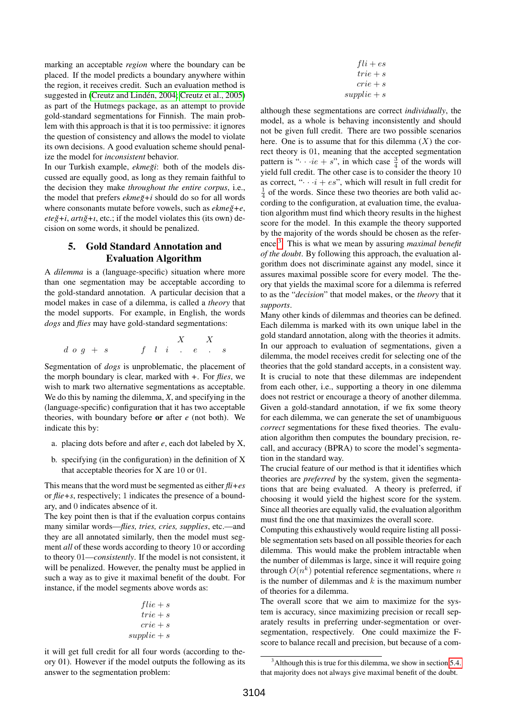marking an acceptable *region* where the boundary can be placed. If the model predicts a boundary anywhere within the region, it receives credit. Such an evaluation method is suggested in (Creutz and Lindén, 2004; [Creutz et al., 2005\)](#page-7-14) as part of the Hutmegs package, as an attempt to provide gold-standard segmentations for Finnish. The main problem with this approach is that it is too permissive: it ignores the question of consistency and allows the model to violate its own decisions. A good evaluation scheme should penalize the model for *inconsistent* behavior.

In our Turkish example, *ekmeği*: both of the models discussed are equally good, as long as they remain faithful to the decision they make *throughout the entire corpus*, i.e., the model that prefers *ekme*g<sup>+</sup>*i* should do so for all words where consonants mutate before vowels, such as  $ekme\breve{g}+e$ ,  $e t e \breve{g} + i$ ,  $ar t \breve{g} + i$ , etc.; if the model violates this (its own) decision on some words, it should be penalized.

# <span id="page-2-0"></span>5. Gold Standard Annotation and Evaluation Algorithm

A *dilemma* is a (language-specific) situation where more than one segmentation may be acceptable according to the gold-standard annotation. A particular decision that a model makes in case of a dilemma, is called a *theory* that the model supports. For example, in English, the words *dogs* and *flies* may have gold-standard segmentations:

$$
\begin{array}{ccc}\n d\,\, o\,\, g\,\, +\,\, s\qquad \quad f\quad l\quad i\quad \quad .\quad \ e\quad \quad .\quad \ s\,\, \\[-0.4em] \end{array}
$$

Segmentation of *dogs* is unproblematic, the placement of the morph boundary is clear, marked with *+*. For *flies*, we wish to mark two alternative segmentations as acceptable. We do this by naming the dilemma, *X*, and specifying in the (language-specific) configuration that it has two acceptable theories, with boundary before or after *e* (not both). We indicate this by:

- a. placing dots before and after *e*, each dot labeled by X,
- b. specifying (in the configuration) in the definition of X that acceptable theories for X are 10 or 01.

This means that the word must be segmented as either *fli+es* or *flie+s*, respectively; 1 indicates the presence of a boundary, and 0 indicates absence of it.

The key point then is that if the evaluation corpus contains many similar words—*flies, tries, cries, supplies*, etc.—and they are all annotated similarly, then the model must segment *all* of these words according to theory 10 or according to theory 01—*consistently*. If the model is not consistent, it will be penalized. However, the penalty must be applied in such a way as to give it maximal benefit of the doubt. For instance, if the model segments above words as:

$$
file + s\ntrie + s\ncribe + s\nsupplied as
$$

it will get full credit for all four words (according to theory 01). However if the model outputs the following as its answer to the segmentation problem:

| $fli + es$             |
|------------------------|
| $trie + s$             |
| $\overline{c}$ rie + s |
| $supplie + s$          |

although these segmentations are correct *individually*, the model, as a whole is behaving inconsistently and should not be given full credit. There are two possible scenarios here. One is to assume that for this dilemma  $(X)$  the correct theory is 01, meaning that the accepted segmentation pattern is " $\cdots$  *ie* + *s*", in which case  $\frac{3}{4}$  of the words will yield full credit. The other case is to consider the theory 10 as correct, " $\cdots$  i + es", which will result in full credit for  $\frac{1}{4}$  of the words. Since these two theories are both valid according to the configuration, at evaluation time, the evaluation algorithm must find which theory results in the highest score for the model. In this example the theory supported by the majority of the words should be chosen as the reference.[3](#page-2-1) . This is what we mean by assuring *maximal benefit of the doubt*. By following this approach, the evaluation algorithm does not discriminate against any model, since it assures maximal possible score for every model. The theory that yields the maximal score for a dilemma is referred to as the "*decision*" that model makes, or the *theory* that it *supports*.

Many other kinds of dilemmas and theories can be defined. Each dilemma is marked with its own unique label in the gold standard annotation, along with the theories it admits. In our approach to evaluation of segmentations, given a dilemma, the model receives credit for selecting one of the theories that the gold standard accepts, in a consistent way. It is crucial to note that these dilemmas are independent from each other, i.e., supporting a theory in one dilemma does not restrict or encourage a theory of another dilemma. Given a gold-standard annotation, if we fix some theory for each dilemma, we can generate the set of unambiguous *correct* segmentations for these fixed theories. The evaluation algorithm then computes the boundary precision, recall, and accuracy (BPRA) to score the model's segmentation in the standard way.

The crucial feature of our method is that it identifies which theories are *preferred* by the system, given the segmentations that are being evaluated. A theory is preferred, if choosing it would yield the highest score for the system. Since all theories are equally valid, the evaluation algorithm must find the one that maximizes the overall score.

Computing this exhaustively would require listing all possible segmentation sets based on all possible theories for each dilemma. This would make the problem intractable when the number of dilemmas is large, since it will require going through  $O(n^k)$  potential reference segmentations, where n is the number of dilemmas and  $k$  is the maximum number of theories for a dilemma.

The overall score that we aim to maximize for the system is accuracy, since maximizing precision or recall separately results in preferring under-segmentation or oversegmentation, respectively. One could maximize the Fscore to balance recall and precision, but because of a com-

<span id="page-2-1"></span><sup>&</sup>lt;sup>3</sup>Although this is true for this dilemma, we show in section [5.4.](#page-3-0) that majority does not always give maximal benefit of the doubt.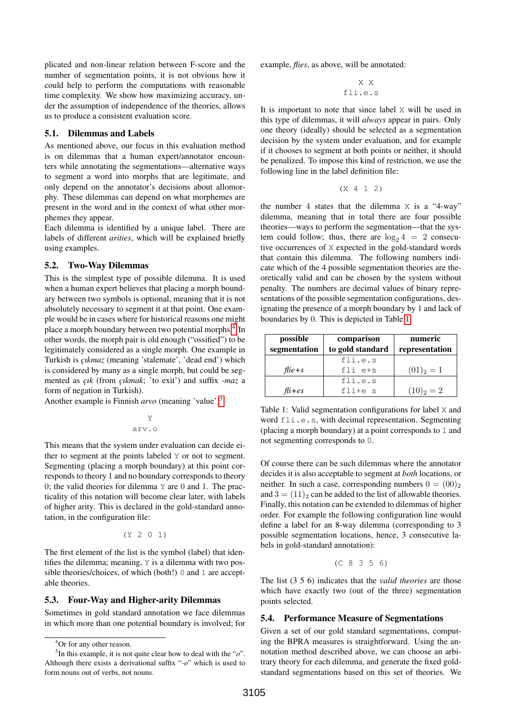plicated and non-linear relation between F-score and the number of segmentation points, it is not obvious how it could help to perform the computations with reasonable time complexity. We show how maximizing accuracy, under the assumption of independence of the theories, allows us to produce a consistent evaluation score.

## 5.1. Dilemmas and Labels

As mentioned above, our focus in this evaluation method is on dilemmas that a human expert/annotator encounters while annotating the segmentations—alternative ways to segment a word into morphs that are legitimate, and only depend on the annotator's decisions about allomorphy. These dilemmas can depend on what morphemes are present in the word and in the context of what other morphemes they appear.

Each dilemma is identified by a unique label. There are labels of different *arities*, which will be explained briefly using examples.

## 5.2. Two-Way Dilemmas

This is the simplest type of possible dilemma. It is used when a human expert believes that placing a morph boundary between two symbols is optional, meaning that it is not absolutely necessary to segment it at that point. One example would be in cases where for historical reasons one might place a morph boundary between two potential morphs.<sup>[4](#page-3-1)</sup> In other words, the morph pair is old enough ("ossified") to be legitimately considered as a single morph. One example in Turkish is *çıkmaz* (meaning 'stalemate', 'dead end') which is considered by many as a single morph, but could be segmented as *çık* (from *çıkmak*; 'to exit') and suffix *-maz* a form of negation in Turkish).

Another example is Finnish *arvo* (meaning 'value')[5](#page-3-2)

$$
\begin{array}{c}\nY \\
\text{arv.o}\n\end{array}
$$

This means that the system under evaluation can decide either to segment at the points labeled Y or not to segment. Segmenting (placing a morph boundary) at this point corresponds to theory 1 and no boundary corresponds to theory 0; the valid theories for dilemma  $Y$  are 0 and 1. The practicality of this notation will become clear later, with labels of higher arity. This is declared in the gold-standard annotation, in the configuration file:

$$
(Y \ 2 \ 0 \ 1)
$$

The first element of the list is the symbol (label) that identifies the dilemma; meaning, Y is a dilemma with two possible theories/choices, of which (both!) 0 and 1 are acceptable theories.

#### 5.3. Four-Way and Higher-arity Dilemmas

Sometimes in gold standard annotation we face dilemmas in which more than one potential boundary is involved; for example, *flies*, as above, will be annotated:

X X fli.e.s

It is important to note that since label X will be used in this type of dilemmas, it will *always* appear in pairs. Only one theory (ideally) should be selected as a segmentation decision by the system under evaluation, and for example if it chooses to segment at both points or neither, it should be penalized. To impose this kind of restriction, we use the following line in the label definition file:

$$
(X 4 1 2)
$$

the number 4 states that the dilemma  $\times$  is a "4-way" dilemma, meaning that in total there are four possible theories—ways to perform the segmentation—that the system could follow; thus, there are  $log_2 4 = 2$  consecutive occurrences of X expected in the gold-standard words that contain this dilemma. The following numbers indicate which of the 4 possible segmentation theories are theoretically valid and can be chosen by the system without penalty. The numbers are decimal values of binary representations of the possible segmentation configurations, designating the presence of a morph boundary by 1 and lack of boundaries by 0. This is depicted in Table [1.](#page-3-3)

<span id="page-3-3"></span>

| possible<br>segmentation | comparison<br>to gold standard | numeric<br>representation |
|--------------------------|--------------------------------|---------------------------|
|                          | fli.e.s                        |                           |
| $file + s$               | $fli$ $e+s$                    | $(01)2 = 1$               |
|                          | fli.e.s                        |                           |
| $f\ddot{i} + es$         | fli+e s                        | $(10)2 = 2$               |

Table 1: Valid segmentation configurations for label X and word fli.e.s, with decimal representation. Segmenting (placing a morph boundary) at a point corresponds to 1 and not segmenting corresponds to 0.

Of course there can be such dilemmas where the annotator decides it is also acceptable to segment at *both* locations, or neither. In such a case, corresponding numbers  $0 = (00)_2$ and  $3 = (11)$ <sub>2</sub> can be added to the list of allowable theories. Finally, this notation can be extended to dilemmas of higher order. For example the following configuration line would define a label for an 8-way dilemma (corresponding to 3 possible segmentation locations, hence, 3 consecutive labels in gold-standard annotation):

$$
(C \ 8 \ 3 \ 5 \ 6)
$$

The list (3 5 6) indicates that the *valid theories* are those which have exactly two (out of the three) segmentation points selected.

#### <span id="page-3-0"></span>5.4. Performance Measure of Segmentations

Given a set of our gold standard segmentations, computing the BPRA measures is straightforward. Using the annotation method described above, we can choose an arbitrary theory for each dilemma, and generate the fixed goldstandard segmentations based on this set of theories. We

<span id="page-3-2"></span><span id="page-3-1"></span><sup>4</sup>Or for any other reason.

<sup>5</sup> In this example, it is not quite clear how to deal with the "*o*". Although there exists a derivational suffix "*-o*" which is used to form nouns out of verbs, not nouns.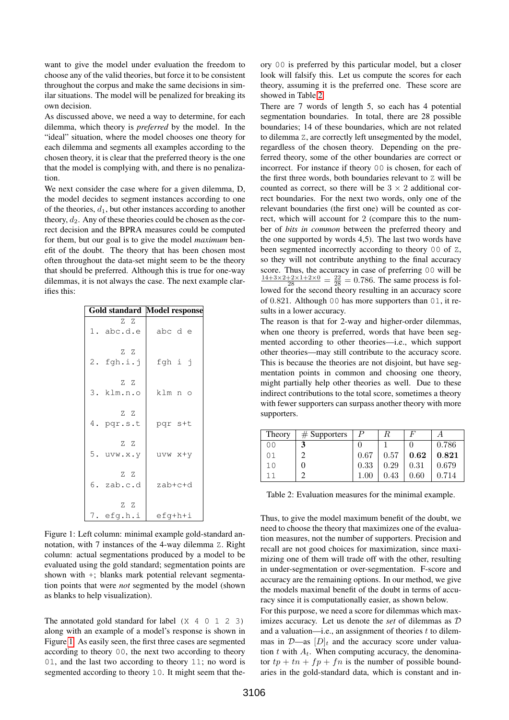want to give the model under evaluation the freedom to choose any of the valid theories, but force it to be consistent throughout the corpus and make the same decisions in similar situations. The model will be penalized for breaking its own decision.

As discussed above, we need a way to determine, for each dilemma, which theory is *preferred* by the model. In the "ideal" situation, where the model chooses one theory for each dilemma and segments all examples according to the chosen theory, it is clear that the preferred theory is the one that the model is complying with, and there is no penalization.

We next consider the case where for a given dilemma, D, the model decides to segment instances according to one of the theories,  $d_1$ , but other instances according to another theory,  $d_2$ . Any of these theories could be chosen as the correct decision and the BPRA measures could be computed for them, but our goal is to give the model *maximum* benefit of the doubt. The theory that has been chosen most often throughout the data-set might seem to be the theory that should be preferred. Although this is true for one-way dilemmas, it is not always the case. The next example clarifies this:

<span id="page-4-0"></span>

|                   | <b>Gold standard Model response</b> |
|-------------------|-------------------------------------|
| Z Z<br>1. abc.d.e | abc d e                             |
| ZZ.<br>2. fgh.i.j | fgh i j                             |
| ZZ<br>3. klm.n.o  | klm n o                             |
| ZZ<br>4. pqr.s.t  | pqr s+t                             |
| ZZ<br>5. uvw.x.y  | uvw x+y                             |
| Z Z<br>6. zab.c.d | zab+c+d                             |
| ZZ<br>7. efg.h.i  | efg+h+i                             |

Figure 1: Left column: minimal example gold-standard annotation, with 7 instances of the 4-way dilemma Z. Right column: actual segmentations produced by a model to be evaluated using the gold standard; segmentation points are shown with +; blanks mark potential relevant segmentation points that were *not* segmented by the model (shown as blanks to help visualization).

The annotated gold standard for label (X 4 0 1 2 3) along with an example of a model's response is shown in Figure [1.](#page-4-0) As easily seen, the first three cases are segmented according to theory 00, the next two according to theory 01, and the last two according to theory 11; no word is segmented according to theory 10. It might seem that theory 00 is preferred by this particular model, but a closer look will falsify this. Let us compute the scores for each theory, assuming it is the preferred one. These score are showed in Table [2.](#page-4-1)

There are 7 words of length 5, so each has 4 potential segmentation boundaries. In total, there are 28 possible boundaries; 14 of these boundaries, which are not related to dilemma Z, are correctly left unsegmented by the model, regardless of the chosen theory. Depending on the preferred theory, some of the other boundaries are correct or incorrect. For instance if theory 00 is chosen, for each of the first three words, both boundaries relevant to Z will be counted as correct, so there will be  $3 \times 2$  additional correct boundaries. For the next two words, only one of the relevant boundaries (the first one) will be counted as correct, which will account for 2 (compare this to the number of *bits in common* between the preferred theory and the one supported by words 4,5). The last two words have been segmented incorrectly according to theory 00 of Z, so they will not contribute anything to the final accuracy score. Thus, the accuracy in case of preferring 00 will be  $\frac{14+3\times2+2\times1+2\times0}{28} = \frac{22}{28} = 0.786$ . The same process is followed for the second theory resulting in an accuracy score of 0.821. Although 00 has more supporters than 01, it results in a lower accuracy.

The reason is that for 2-way and higher-order dilemmas, when one theory is preferred, words that have been segmented according to other theories—i.e., which support other theories—may still contribute to the accuracy score. This is because the theories are not disjoint, but have segmentation points in common and choosing one theory, might partially help other theories as well. Due to these indirect contributions to the total score, sometimes a theory with fewer supporters can surpass another theory with more supporters.

<span id="page-4-1"></span>

| Theory         | $#$ Supporters |      | R    | F    |       |
|----------------|----------------|------|------|------|-------|
| 0 <sub>0</sub> |                |      |      |      | 0.786 |
| 01             |                | 0.67 | 0.57 | 0.62 | 0.821 |
| 10             |                | 0.33 | 0.29 | 0.31 | 0.679 |
|                |                | 1.00 | 0.43 | 0.60 | 0.714 |

Table 2: Evaluation measures for the minimal example.

Thus, to give the model maximum benefit of the doubt, we need to choose the theory that maximizes one of the evaluation measures, not the number of supporters. Precision and recall are not good choices for maximization, since maximizing one of them will trade off with the other, resulting in under-segmentation or over-segmentation. F-score and accuracy are the remaining options. In our method, we give the models maximal benefit of the doubt in terms of accuracy since it is computationally easier, as shown below.

For this purpose, we need a score for dilemmas which maximizes accuracy. Let us denote the *set* of dilemmas as D and a valuation—i.e., an assignment of theories  $t$  to dilemmas in  $\mathcal{D}$ —as  $[D]_t$  and the accuracy score under valuation t with  $A_t$ . When computing accuracy, the denominator  $tp + tn + fp + fn$  is the number of possible boundaries in the gold-standard data, which is constant and in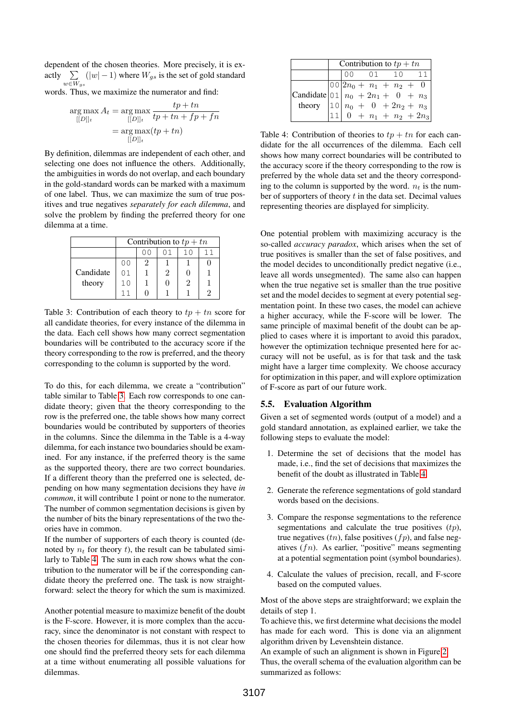dependent of the chosen theories. More precisely, it is exactly  $\sum$  $\sum_{w \in W_{gs}} (|w| - 1)$  where  $W_{gs}$  is the set of gold standard

words. Thus, we maximize the numerator and find:

$$
\arg \max_{[[D]]_t} A_t = \arg \max_{[[D]]_t} \frac{tp + tn}{tp + tn + fp + fn}
$$

$$
= \arg \max_{[[D]]_t} (tp + tn)
$$

By definition, dilemmas are independent of each other, and selecting one does not influence the others. Additionally, the ambiguities in words do not overlap, and each boundary in the gold-standard words can be marked with a maximum of one label. Thus, we can maximize the sum of true positives and true negatives *separately for each dilemma*, and solve the problem by finding the preferred theory for one dilemma at a time.

<span id="page-5-0"></span>

|           | Contribution to $tp + tn$ |   |  |    |  |  |
|-----------|---------------------------|---|--|----|--|--|
|           |                           |   |  | 10 |  |  |
|           | 00                        | 2 |  |    |  |  |
| Candidate | 01                        |   |  |    |  |  |
| theory    | 1 <sub>0</sub>            |   |  |    |  |  |
|           |                           |   |  |    |  |  |

Table 3: Contribution of each theory to  $tp + tn$  score for all candidate theories, for every instance of the dilemma in the data. Each cell shows how many correct segmentation boundaries will be contributed to the accuracy score if the theory corresponding to the row is preferred, and the theory corresponding to the column is supported by the word.

To do this, for each dilemma, we create a "contribution" table similar to Table [3.](#page-5-0) Each row corresponds to one candidate theory; given that the theory corresponding to the row is the preferred one, the table shows how many correct boundaries would be contributed by supporters of theories in the columns. Since the dilemma in the Table is a 4-way dilemma, for each instance two boundaries should be examined. For any instance, if the preferred theory is the same as the supported theory, there are two correct boundaries. If a different theory than the preferred one is selected, depending on how many segmentation decisions they have *in common*, it will contribute 1 point or none to the numerator. The number of common segmentation decisions is given by the number of bits the binary representations of the two theories have in common.

If the number of supporters of each theory is counted (denoted by  $n_t$  for theory t), the result can be tabulated similarly to Table [4.](#page-5-1) The sum in each row shows what the contribution to the numerator will be if the corresponding candidate theory the preferred one. The task is now straightforward: select the theory for which the sum is maximized.

Another potential measure to maximize benefit of the doubt is the F-score. However, it is more complex than the accuracy, since the denominator is not constant with respect to the chosen theories for dilemmas, thus it is not clear how one should find the preferred theory sets for each dilemma at a time without enumerating all possible valuations for dilemmas.

<span id="page-5-1"></span>

|                                                                                                                                                                                  | Contribution to $tp + tn$ |        |  |  |  |       |  |
|----------------------------------------------------------------------------------------------------------------------------------------------------------------------------------|---------------------------|--------|--|--|--|-------|--|
|                                                                                                                                                                                  |                           | $\cap$ |  |  |  | 01 10 |  |
|                                                                                                                                                                                  |                           |        |  |  |  |       |  |
|                                                                                                                                                                                  |                           |        |  |  |  |       |  |
|                                                                                                                                                                                  |                           |        |  |  |  |       |  |
| Candidate $\begin{bmatrix} 0 & 2n_0 + n_1 + n_2 + 0 \\ 0 & 1 & n_0 + 2n_1 + 0 + n_3 \\ \text{theory} & 1 & 0 & n_0 + 0 + 2n_2 + n_3 \\ 1 & 0 & + n_1 + n_2 + 2n_3 \end{bmatrix}$ |                           |        |  |  |  |       |  |

Table 4: Contribution of theories to  $tp + tn$  for each candidate for the all occurrences of the dilemma. Each cell shows how many correct boundaries will be contributed to the accuracy score if the theory corresponding to the row is preferred by the whole data set and the theory corresponding to the column is supported by the word.  $n_t$  is the number of supporters of theory  $t$  in the data set. Decimal values representing theories are displayed for simplicity.

One potential problem with maximizing accuracy is the so-called *accuracy paradox*, which arises when the set of true positives is smaller than the set of false positives, and the model decides to unconditionally predict negative (i.e., leave all words unsegmented). The same also can happen when the true negative set is smaller than the true positive set and the model decides to segment at every potential segmentation point. In these two cases, the model can achieve a higher accuracy, while the F-score will be lower. The same principle of maximal benefit of the doubt can be applied to cases where it is important to avoid this paradox, however the optimization technique presented here for accuracy will not be useful, as is for that task and the task might have a larger time complexity. We choose accuracy for optimization in this paper, and will explore optimization of F-score as part of our future work.

## 5.5. Evaluation Algorithm

Given a set of segmented words (output of a model) and a gold standard annotation, as explained earlier, we take the following steps to evaluate the model:

- 1. Determine the set of decisions that the model has made, i.e., find the set of decisions that maximizes the benefit of the doubt as illustrated in Table [4.](#page-5-1)
- 2. Generate the reference segmentations of gold standard words based on the decisions.
- 3. Compare the response segmentations to the reference segmentations and calculate the true positives  $(tp)$ , true negatives  $(tn)$ , false positives  $(fp)$ , and false negatives  $f(n)$ . As earlier, "positive" means segmenting at a potential segmentation point (symbol boundaries).
- 4. Calculate the values of precision, recall, and F-score based on the computed values.

Most of the above steps are straightforward; we explain the details of step 1.

To achieve this, we first determine what decisions the model has made for each word. This is done via an alignment algorithm driven by Levenshtein distance.

An example of such an alignment is shown in Figure [2.](#page-6-2)

Thus, the overall schema of the evaluation algorithm can be summarized as follows: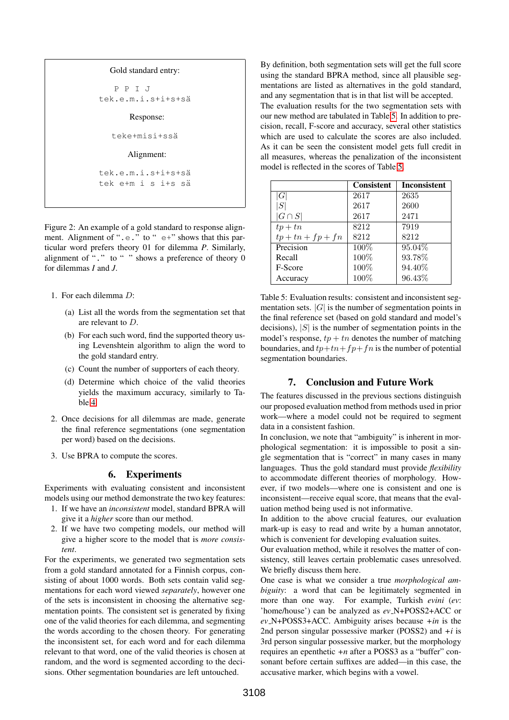```
Gold standard entry:
   P P I J
tek.e.m.i.s+i+s+s¨a
      Response:
   teke+misi+ssä
      Alignment:
tek.e.m.i.s+i+s+s¨a
tek e+m i s i+s sä
```
Figure 2: An example of a gold standard to response alignment. Alignment of " $.e.$ " to " $e+$ " shows that this particular word prefers theory 01 for dilemma *P*. Similarly, alignment of "." to " " shows a preference of theory 0 for dilemmas *I* and *J*.

- 1. For each dilemma D:
	- (a) List all the words from the segmentation set that are relevant to D.
	- (b) For each such word, find the supported theory using Levenshtein algorithm to align the word to the gold standard entry.
	- (c) Count the number of supporters of each theory.
	- (d) Determine which choice of the valid theories yields the maximum accuracy, similarly to Table [4.](#page-5-1)
- 2. Once decisions for all dilemmas are made, generate the final reference segmentations (one segmentation per word) based on the decisions.
- <span id="page-6-0"></span>3. Use BPRA to compute the scores.

#### 6. Experiments

Experiments with evaluating consistent and inconsistent models using our method demonstrate the two key features:

- 1. If we have an *inconsistent* model, standard BPRA will give it a *higher* score than our method.
- 2. If we have two competing models, our method will give a higher score to the model that is *more consistent*.

For the experiments, we generated two segmentation sets from a gold standard annotated for a Finnish corpus, consisting of about 1000 words. Both sets contain valid segmentations for each word viewed *separately*, however one of the sets is inconsistent in choosing the alternative segmentation points. The consistent set is generated by fixing one of the valid theories for each dilemma, and segmenting the words according to the chosen theory. For generating the inconsistent set, for each word and for each dilemma relevant to that word, one of the valid theories is chosen at random, and the word is segmented according to the decisions. Other segmentation boundaries are left untouched.

By definition, both segmentation sets will get the full score using the standard BPRA method, since all plausible segmentations are listed as alternatives in the gold standard, and any segmentation that is in that list will be accepted. The evaluation results for the two segmentation sets with our new method are tabulated in Table [5.](#page-6-3) In addition to precision, recall, F-score and accuracy, several other statistics which are used to calculate the scores are also included. As it can be seen the consistent model gets full credit in all measures, whereas the penalization of the inconsistent model is reflected in the scores of Table [5.](#page-6-3)

<span id="page-6-3"></span>

|                     | <b>Consistent</b> | <b>Inconsistent</b> |
|---------------------|-------------------|---------------------|
| G                   | 2617              | 2635                |
| S                   | 2617              | 2600                |
| $ G \cap S $        | 2617              | 2471                |
| $tp+tn$             | 8212              | 7919                |
| $tp + tn + fp + fn$ | 8212              | 8212                |
| Precision           | 100%              | 95.04%              |
| Recall              | 100%              | 93.78%              |
| F-Score             | 100%              | 94.40%              |
| Accuracy            | 100%              | 96.43%              |

Table 5: Evaluation results: consistent and inconsistent segmentation sets.  $|G|$  is the number of segmentation points in the final reference set (based on gold standard and model's decisions),  $|S|$  is the number of segmentation points in the model's response,  $tp + tn$  denotes the number of matching boundaries, and  $tp+tn+fp+fn$  is the number of potential segmentation boundaries.

# 7. Conclusion and Future Work

<span id="page-6-1"></span>The features discussed in the previous sections distinguish our proposed evaluation method from methods used in prior work—where a model could not be required to segment data in a consistent fashion.

In conclusion, we note that "ambiguity" is inherent in morphological segmentation: it is impossible to posit a single segmentation that is "correct" in many cases in many languages. Thus the gold standard must provide *flexibility* to accommodate different theories of morphology. However, if two models—where one is consistent and one is inconsistent—receive equal score, that means that the evaluation method being used is not informative.

In addition to the above crucial features, our evaluation mark-up is easy to read and write by a human annotator, which is convenient for developing evaluation suites.

Our evaluation method, while it resolves the matter of consistency, still leaves certain problematic cases unresolved. We briefly discuss them here.

One case is what we consider a true *morphological ambiguity*: a word that can be legitimately segmented in more than one way. For example, Turkish *evini* (*ev*: 'home/house') can be analyzed as *ev* N+POSS2+ACC or *ev* N+POSS3+ACC. Ambiguity arises because *+in* is the 2nd person singular possessive marker (POSS2) and *+i* is 3rd person singular possessive marker, but the morphology requires an epenthetic *+n* after a POSS3 as a "buffer" consonant before certain suffixes are added—in this case, the accusative marker, which begins with a vowel.